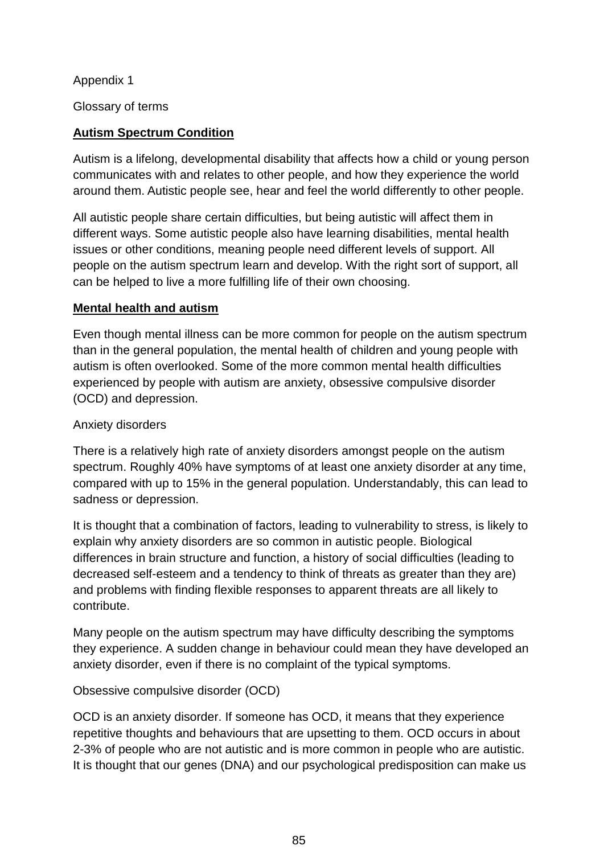Appendix 1

Glossary of terms

### **Autism Spectrum Condition**

Autism is a lifelong, developmental disability that affects how a child or young person communicates with and relates to other people, and how they experience the world around them. Autistic people see, hear and feel the world differently to other people.

All autistic people share certain difficulties, but being autistic will affect them in different ways. Some autistic people also have learning disabilities, mental health issues or other conditions, meaning people need different levels of support. All people on the autism spectrum learn and develop. With the right sort of support, all can be helped to live a more fulfilling life of their own choosing.

#### **Mental health and autism**

Even though mental illness can be more common for people on the autism spectrum than in the general population, the mental health of children and young people with autism is often overlooked. Some of the more common mental health difficulties experienced by people with autism are anxiety, obsessive compulsive disorder (OCD) and depression.

#### Anxiety disorders

There is a relatively high rate of anxiety disorders amongst people on the autism spectrum. Roughly 40% have symptoms of at least one anxiety disorder at any time, compared with up to 15% in the general population. Understandably, this can lead to sadness or depression.

It is thought that a combination of factors, leading to vulnerability to stress, is likely to explain why anxiety disorders are so common in autistic people. Biological differences in brain structure and function, a history of social difficulties (leading to decreased self-esteem and a tendency to think of threats as greater than they are) and problems with finding flexible responses to apparent threats are all likely to contribute.

Many people on the autism spectrum may have difficulty describing the symptoms they experience. A sudden change in behaviour could mean they have developed an anxiety disorder, even if there is no complaint of the typical symptoms.

#### Obsessive compulsive disorder (OCD)

OCD is an anxiety disorder. If someone has OCD, it means that they experience repetitive thoughts and behaviours that are upsetting to them. OCD occurs in about 2-3% of people who are not autistic and is more common in people who are autistic. It is thought that our genes (DNA) and our psychological predisposition can make us